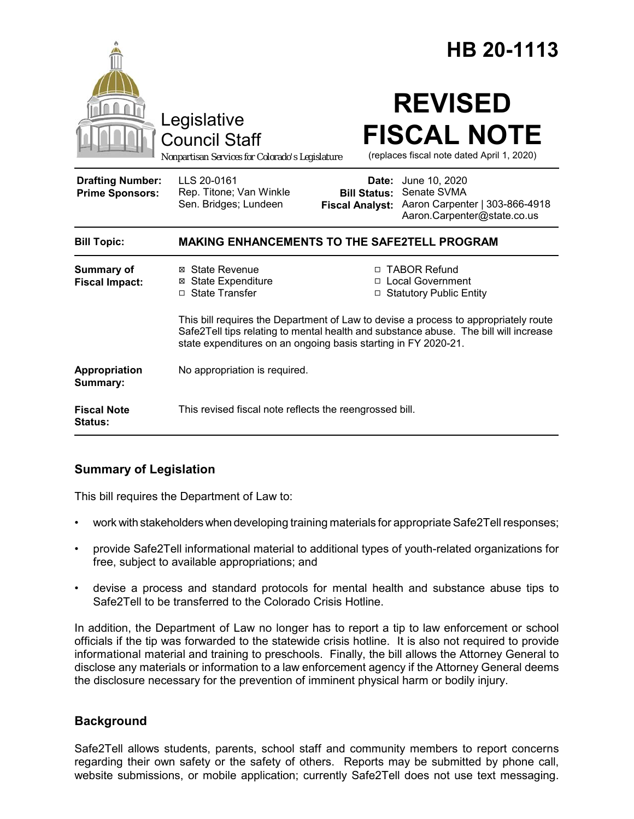| Legislative<br><b>Council Staff</b><br>Nonpartisan Services for Colorado's Legislature |                                                                                                                                                                                                                                               | HB 20-1113                                    |                                                                                                            |
|----------------------------------------------------------------------------------------|-----------------------------------------------------------------------------------------------------------------------------------------------------------------------------------------------------------------------------------------------|-----------------------------------------------|------------------------------------------------------------------------------------------------------------|
|                                                                                        |                                                                                                                                                                                                                                               |                                               | <b>REVISED</b><br><b>FISCAL NOTE</b><br>(replaces fiscal note dated April 1, 2020)                         |
| <b>Drafting Number:</b><br><b>Prime Sponsors:</b>                                      | LLS 20-0161<br>Rep. Titone; Van Winkle<br>Sen. Bridges; Lundeen                                                                                                                                                                               | <b>Bill Status:</b><br><b>Fiscal Analyst:</b> | <b>Date:</b> June 10, 2020<br>Senate SVMA<br>Aaron Carpenter   303-866-4918<br>Aaron.Carpenter@state.co.us |
| <b>Bill Topic:</b>                                                                     | <b>MAKING ENHANCEMENTS TO THE SAFE2TELL PROGRAM</b>                                                                                                                                                                                           |                                               |                                                                                                            |
| <b>Summary of</b><br><b>Fiscal Impact:</b>                                             | ⊠ State Revenue<br><b>⊠</b> State Expenditure<br>□ State Transfer                                                                                                                                                                             |                                               | □ TABOR Refund<br>□ Local Government<br><b>Statutory Public Entity</b>                                     |
|                                                                                        | This bill requires the Department of Law to devise a process to appropriately route<br>Safe2Tell tips relating to mental health and substance abuse. The bill will increase<br>state expenditures on an ongoing basis starting in FY 2020-21. |                                               |                                                                                                            |
| Appropriation<br>Summary:                                                              | No appropriation is required.                                                                                                                                                                                                                 |                                               |                                                                                                            |
| <b>Fiscal Note</b><br><b>Status:</b>                                                   | This revised fiscal note reflects the reengrossed bill.                                                                                                                                                                                       |                                               |                                                                                                            |

# **Summary of Legislation**

This bill requires the Department of Law to:

- work with stakeholders when developing training materials for appropriate Safe2Tell responses;
- provide Safe2Tell informational material to additional types of youth-related organizations for free, subject to available appropriations; and
- devise a process and standard protocols for mental health and substance abuse tips to Safe2Tell to be transferred to the Colorado Crisis Hotline.

In addition, the Department of Law no longer has to report a tip to law enforcement or school officials if the tip was forwarded to the statewide crisis hotline. It is also not required to provide informational material and training to preschools. Finally, the bill allows the Attorney General to disclose any materials or information to a law enforcement agency if the Attorney General deems the disclosure necessary for the prevention of imminent physical harm or bodily injury.

# **Background**

Safe2Tell allows students, parents, school staff and community members to report concerns regarding their own safety or the safety of others. Reports may be submitted by phone call, website submissions, or mobile application; currently Safe2Tell does not use text messaging.